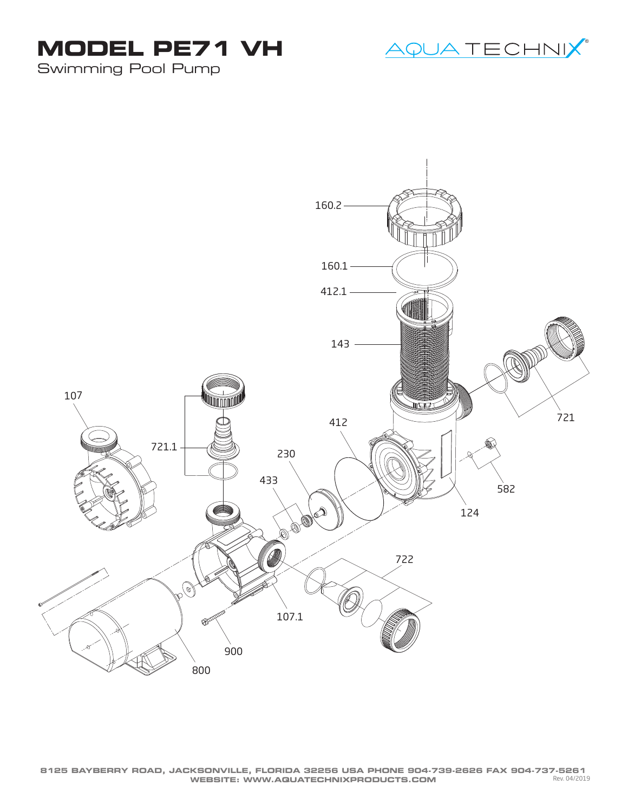



Swimming Pool Pump